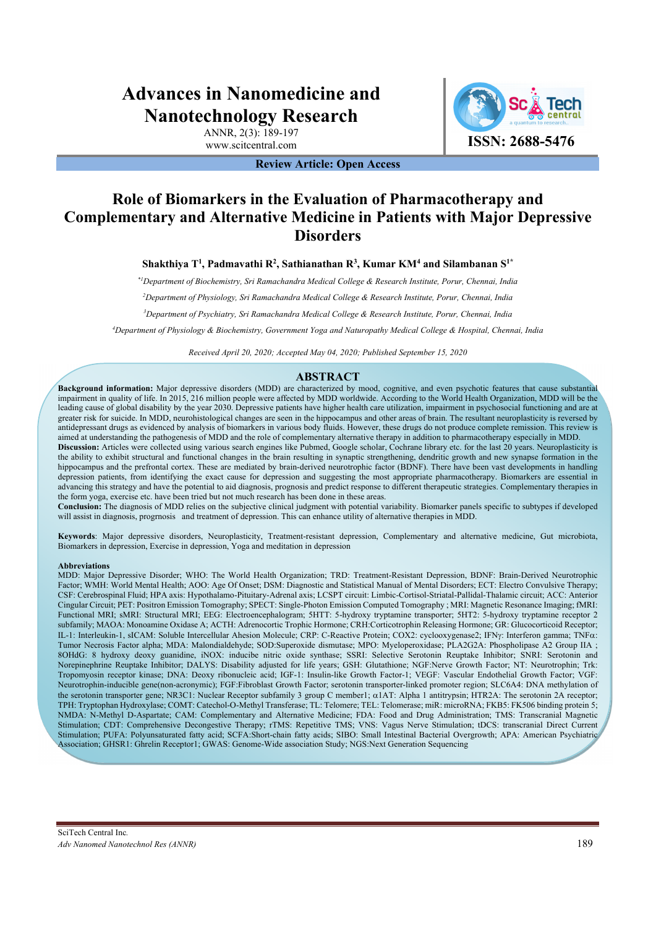# **Advances in Nanomedicine and Nanotechnology Research**

ANNR, 2(3): 189-197

**Review Article: Open Access** 

# www.scitcentral.com **ISSN: 2688-5476**

## **Role of Biomarkers in the Evaluation of Pharmacotherapy and Complementary and Alternative Medicine in Patients with Major Depressive Disorders**

**Shakthiya T1 , Padmavathi R2 , Sathianathan R3 , Kumar KM4 and Silambanan S1\***

*\*1Department of Biochemistry, Sri Ramachandra Medical College & Research Institute, Porur, Chennai, India* 

*2 Department of Physiology, Sri Ramachandra Medical College & Research Institute, Porur, Chennai, India* 

*3 Department of Psychiatry, Sri Ramachandra Medical College & Research Institute, Porur, Chennai, India* 

*4 Department of Physiology & Biochemistry, Government Yoga and Naturopathy Medical College & Hospital, Chennai, India* 

*Received April 20, 2020; Accepted May 04, 2020; Published September 15, 2020* 

## **ABSTRACT**

**Background information:** Major depressive disorders (MDD) are characterized by mood, cognitive, and even psychotic features that cause substantial impairment in quality of life. In 2015, 216 million people were affected by MDD worldwide. According to the World Health Organization, MDD will be the leading cause of global disability by the year 2030. Depressive patients have higher health care utilization, impairment in psychosocial functioning and are at greater risk for suicide. In MDD, neurohistological changes are seen in the hippocampus and other areas of brain. The resultant neuroplasticity is reversed by antidepressant drugs as evidenced by analysis of biomarkers in various body fluids. However, these drugs do not produce complete remission. This review is aimed at understanding the pathogenesis of MDD and the role of complementary alternative therapy in addition to pharmacotherapy especially in MDD.

**Discussion:** Articles were collected using various search engines like Pubmed, Google scholar, Cochrane library etc. for the last 20 years. Neuroplasticity is the ability to exhibit structural and functional changes in the brain resulting in synaptic strengthening, dendritic growth and new synapse formation in the hippocampus and the prefrontal cortex. These are mediated by brain-derived neurotrophic factor (BDNF). There have been vast developments in handling depression patients, from identifying the exact cause for depression and suggesting the most appropriate pharmacotherapy. Biomarkers are essential in advancing this strategy and have the potential to aid diagnosis, prognosis and predict response to different therapeutic strategies. Complementary therapies in the form yoga, exercise etc. have been tried but not much research has been done in these areas.

**Conclusion:** The diagnosis of MDD relies on the subjective clinical judgment with potential variability. Biomarker panels specific to subtypes if developed will assist in diagnosis, progrnosis and treatment of depression. This can enhance utility of alternative therapies in MDD.

**Keywords**: Major depressive disorders, Neuroplasticity, Treatment-resistant depression, Complementary and alternative medicine, Gut microbiota, Biomarkers in depression, Exercise in depression, Yoga and meditation in depression

#### **Abbreviations**

MDD: Major Depressive Disorder; WHO: The World Health Organization; TRD: Treatment-Resistant Depression, BDNF: Brain-Derived Neurotrophic Factor; WMH: World Mental Health; AOO: Age Of Onset; DSM: Diagnostic and Statistical Manual of Mental Disorders; ECT: Electro Convulsive Therapy; CSF: Cerebrospinal Fluid; HPA axis: Hypothalamo-Pituitary-Adrenal axis; LCSPT circuit: Limbic-Cortisol-Striatal-Pallidal-Thalamic circuit; ACC: Anterior Cingular Circuit; PET: Positron Emission Tomography; SPECT: Single-Photon Emission Computed Tomography ; MRI: Magnetic Resonance Imaging; fMRI: Functional MRI; sMRI: Structural MRI; EEG: Electroencephalogram; 5HTT: 5-hydroxy tryptamine transporter; 5HT2: 5-hydroxy tryptamine receptor 2 subfamily; MAOA: Monoamine Oxidase A; ACTH: Adrenocortic Trophic Hormone; CRH:Corticotrophin Releasing Hormone; GR: Glucocorticoid Receptor; IL-1: Interleukin-1, sICAM: Soluble Intercellular Ahesion Molecule; CRP: C-Reactive Protein; COX2: cyclooxygenase2; IFN: Interferon gamma; TNF: Tumor Necrosis Factor alpha; MDA: Malondialdehyde; SOD:Superoxide dismutase; MPO: Myeloperoxidase; PLA2G2A: Phospholipase A2 Group IIA ; 8OHdG: 8 hydroxy deoxy guanidine, iNOX: inducibe nitric oxide synthase; SSRI: Selective Serotonin Reuptake Inhibitor; SNRI: Serotonin and Norepinephrine Reuptake Inhibitor; DALYS: Disability adjusted for life years; GSH: Glutathione; NGF:Nerve Growth Factor; NT: Neurotrophin; Trk: Tropomyosin receptor kinase; DNA: Deoxy ribonucleic acid; IGF-1: Insulin-like Growth Factor-1; VEGF: Vascular Endothelial Growth Factor; VGF: Neurotrophin-inducible gene(non-acronymic); FGF:Fibroblast Growth Factor; serotonin transporter-linked promoter region; SLC6A4: DNA methylation of the serotonin transporter gene; NR3C1: Nuclear Receptor subfamily 3 group C member1;  $\alpha$ 1AT: Alpha 1 antitrypsin; HTR2A: The serotonin 2A receptor; TPH: Tryptophan Hydroxylase; COMT: Catechol-O-Methyl Transferase; TL: Telomere; TEL: Telomerase; miR: microRNA; FKB5: FK506 binding protein 5; NMDA: N-Methyl D-Aspartate; CAM: Complementary and Alternative Medicine; FDA: Food and Drug Administration; TMS: Transcranial Magnetic Stimulation; CDT: Comprehensive Decongestive Therapy; rTMS: Repetitive TMS; VNS: Vagus Nerve Stimulation; tDCS: transcranial Direct Current Stimulation; PUFA: Polyunsaturated fatty acid; SCFA:Short-chain fatty acids; SIBO: Small Intestinal Bacterial Overgrowth; APA: American Psychiatric Association; GHSR1: Ghrelin Receptor1; GWAS: Genome-Wide association Study; NGS:Next Generation Sequencing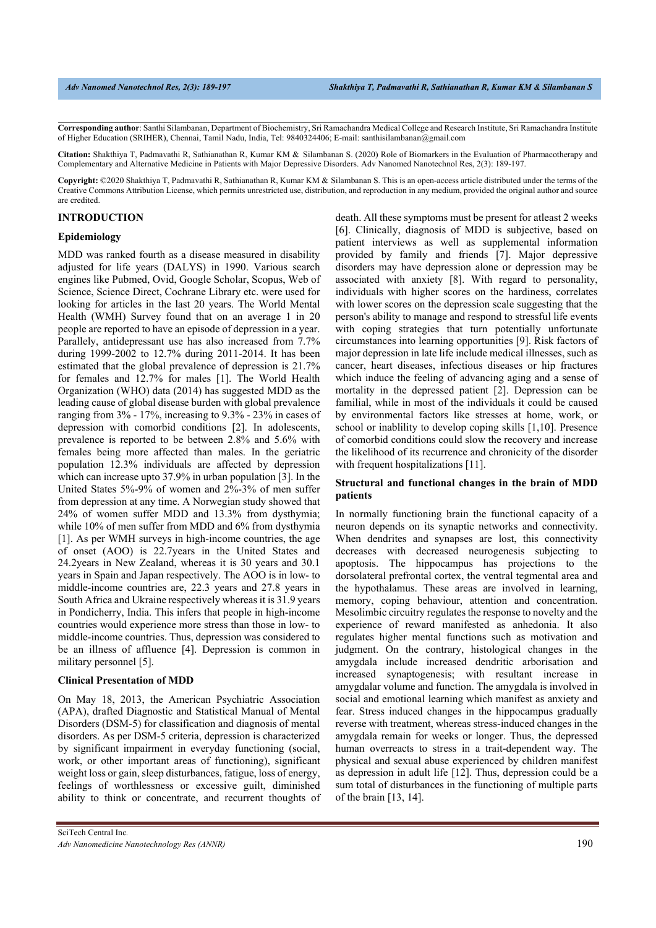**Corresponding author**: Santhi Silambanan, Department of Biochemistry, Sri Ramachandra Medical College and Research Institute, Sri Ramachandra Institute of Higher Education (SRIHER), Chennai, Tamil Nadu, India, Tel: 9840324406; E-mail: santhisilambanan@gmail.com

**Citation:** Shakthiya T, Padmavathi R, Sathianathan R, Kumar KM & Silambanan S. (2020) Role of Biomarkers in the Evaluation of Pharmacotherapy and Complementary and Alternative Medicine in Patients with Major Depressive Disorders. Adv Nanomed Nanotechnol Res, 2(3): 189-197.

**Copyright:** ©2020 Shakthiya T, Padmavathi R, Sathianathan R, Kumar KM & Silambanan S. This is an open-access article distributed under the terms of the Creative Commons Attribution License, which permits unrestricted use, distribution, and reproduction in any medium, provided the original author and source are credited.

#### **INTRODUCTION**

#### **Epidemiology**

MDD was ranked fourth as a disease measured in disability adjusted for life years (DALYS) in 1990. Various search engines like Pubmed, Ovid, Google Scholar, Scopus, Web of Science, Science Direct, Cochrane Library etc. were used for looking for articles in the last 20 years. The World Mental Health (WMH) Survey found that on an average 1 in 20 people are reported to have an episode of depression in a year. Parallely, antidepressant use has also increased from 7.7% during 1999-2002 to 12.7% during 2011-2014. It has been estimated that the global prevalence of depression is 21.7% for females and 12.7% for males [1]. The World Health Organization (WHO) data (2014) has suggested MDD as the leading cause of global disease burden with global prevalence ranging from 3% - 17%, increasing to 9.3% - 23% in cases of depression with comorbid conditions [2]. In adolescents, prevalence is reported to be between 2.8% and 5.6% with females being more affected than males. In the geriatric population 12.3% individuals are affected by depression which can increase upto 37.9% in urban population [3]. In the United States 5%-9% of women and 2%-3% of men suffer from depression at any time. A Norwegian study showed that 24% of women suffer MDD and 13.3% from dysthymia; while 10% of men suffer from MDD and 6% from dysthymia [1]. As per WMH surveys in high-income countries, the age of onset (AOO) is 22.7years in the United States and 24.2years in New Zealand, whereas it is 30 years and 30.1 years in Spain and Japan respectively. The AOO is in low- to middle-income countries are, 22.3 years and 27.8 years in South Africa and Ukraine respectively whereas it is 31.9 years in Pondicherry, India. This infers that people in high-income countries would experience more stress than those in low- to middle-income countries. Thus, depression was considered to be an illness of affluence [4]. Depression is common in military personnel [5].

#### **Clinical Presentation of MDD**

On May 18, 2013, the American Psychiatric Association (APA), drafted Diagnostic and Statistical Manual of Mental Disorders (DSM-5) for classification and diagnosis of mental disorders. As per DSM-5 criteria, depression is characterized by significant impairment in everyday functioning (social, work, or other important areas of functioning), significant weight loss or gain, sleep disturbances, fatigue, loss of energy, feelings of worthlessness or excessive guilt, diminished ability to think or concentrate, and recurrent thoughts of death. All these symptoms must be present for atleast 2 weeks [6]. Clinically, diagnosis of MDD is subjective, based on patient interviews as well as supplemental information provided by family and friends [7]. Major depressive disorders may have depression alone or depression may be associated with anxiety [8]. With regard to personality, individuals with higher scores on the hardiness, correlates with lower scores on the depression scale suggesting that the person's ability to manage and respond to stressful life events with coping strategies that turn potentially unfortunate circumstances into learning opportunities [9]. Risk factors of major depression in late life include medical illnesses, such as cancer, heart diseases, infectious diseases or hip fractures which induce the feeling of advancing aging and a sense of mortality in the depressed patient [2]. Depression can be familial, while in most of the individuals it could be caused by environmental factors like stresses at home, work, or school or inablility to develop coping skills [1,10]. Presence of comorbid conditions could slow the recovery and increase the likelihood of its recurrence and chronicity of the disorder with frequent hospitalizations [11].

### **Structural and functional changes in the brain of MDD patients**

In normally functioning brain the functional capacity of a neuron depends on its synaptic networks and connectivity. When dendrites and synapses are lost, this connectivity decreases with decreased neurogenesis subjecting to apoptosis. The hippocampus has projections to the dorsolateral prefrontal cortex, the ventral tegmental area and the hypothalamus. These areas are involved in learning, memory, coping behaviour, attention and concentration. Mesolimbic circuitry regulates the response to novelty and the experience of reward manifested as anhedonia. It also regulates higher mental functions such as motivation and judgment. On the contrary, histological changes in the amygdala include increased dendritic arborisation and increased synaptogenesis; with resultant increase in amygdalar volume and function. The amygdala is involved in social and emotional learning which manifest as anxiety and fear. Stress induced changes in the hippocampus gradually reverse with treatment, whereas stress-induced changes in the amygdala remain for weeks or longer. Thus, the depressed human overreacts to stress in a trait-dependent way. The physical and sexual abuse experienced by children manifest as depression in adult life [12]. Thus, depression could be a sum total of disturbances in the functioning of multiple parts of the brain [13, 14].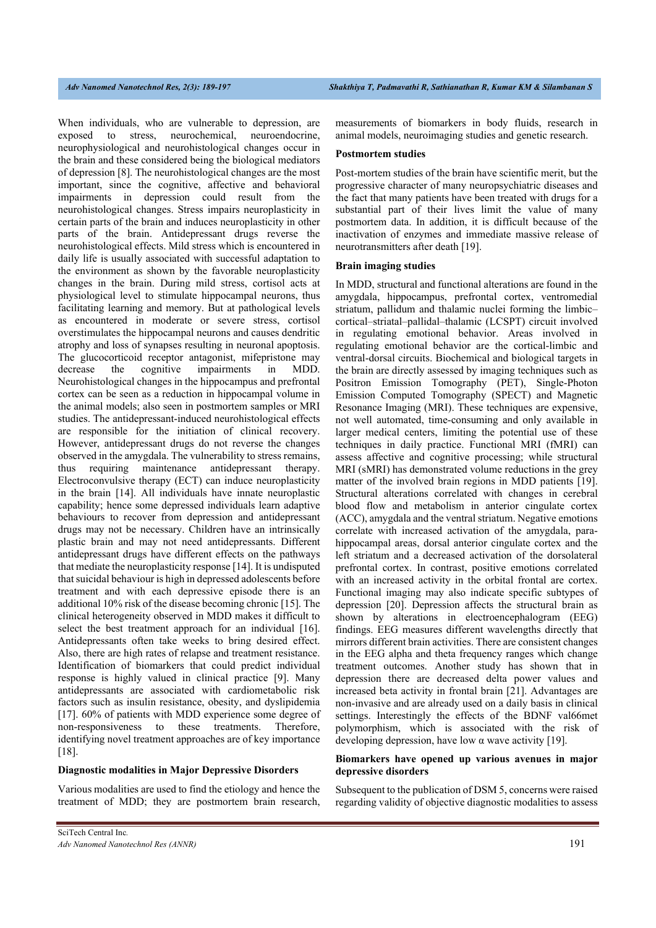When individuals, who are vulnerable to depression, are exposed to stress, neurochemical, neuroendocrine, neurophysiological and neurohistological changes occur in the brain and these considered being the biological mediators of depression [8]. The neurohistological changes are the most important, since the cognitive, affective and behavioral impairments in depression could result from the neurohistological changes. Stress impairs neuroplasticity in certain parts of the brain and induces neuroplasticity in other parts of the brain. Antidepressant drugs reverse the neurohistological effects. Mild stress which is encountered in daily life is usually associated with successful adaptation to the environment as shown by the favorable neuroplasticity changes in the brain. During mild stress, cortisol acts at physiological level to stimulate hippocampal neurons, thus facilitating learning and memory. But at pathological levels as encountered in moderate or severe stress, cortisol overstimulates the hippocampal neurons and causes dendritic atrophy and loss of synapses resulting in neuronal apoptosis. The glucocorticoid receptor antagonist, mifepristone may decrease the cognitive impairments in MDD. Neurohistological changes in the hippocampus and prefrontal cortex can be seen as a reduction in hippocampal volume in the animal models; also seen in postmortem samples or MRI studies. The antidepressant-induced neurohistological effects are responsible for the initiation of clinical recovery. However, antidepressant drugs do not reverse the changes observed in the amygdala. The vulnerability to stress remains, thus requiring maintenance antidepressant therapy. Electroconvulsive therapy (ECT) can induce neuroplasticity in the brain [14]. All individuals have innate neuroplastic capability; hence some depressed individuals learn adaptive behaviours to recover from depression and antidepressant drugs may not be necessary. Children have an intrinsically plastic brain and may not need antidepressants. Different antidepressant drugs have different effects on the pathways that mediate the neuroplasticity response [14]. It is undisputed that suicidal behaviour is high in depressed adolescents before treatment and with each depressive episode there is an additional 10% risk of the disease becoming chronic [15]. The clinical heterogeneity observed in MDD makes it difficult to select the best treatment approach for an individual [16]. Antidepressants often take weeks to bring desired effect. Also, there are high rates of relapse and treatment resistance. Identification of biomarkers that could predict individual response is highly valued in clinical practice [9]. Many antidepressants are associated with cardiometabolic risk factors such as insulin resistance, obesity, and dyslipidemia [17]. 60% of patients with MDD experience some degree of non-responsiveness to these treatments. Therefore, identifying novel treatment approaches are of key importance [18].

#### **Diagnostic modalities in Major Depressive Disorders**

Various modalities are used to find the etiology and hence the treatment of MDD; they are postmortem brain research,

#### **Postmortem studies**

Post-mortem studies of the brain have scientific merit, but the progressive character of many neuropsychiatric diseases and the fact that many patients have been treated with drugs for a substantial part of their lives limit the value of many postmortem data. In addition, it is difficult because of the inactivation of enzymes and immediate massive release of neurotransmitters after death [19].

#### **Brain imaging studies**

In MDD, structural and functional alterations are found in the amygdala, hippocampus, prefrontal cortex, ventromedial striatum, pallidum and thalamic nuclei forming the limbic– cortical–striatal–pallidal–thalamic (LCSPT) circuit involved in regulating emotional behavior. Areas involved in regulating emotional behavior are the cortical-limbic and ventral-dorsal circuits. Biochemical and biological targets in the brain are directly assessed by imaging techniques such as Positron Emission Tomography (PET), Single-Photon Emission Computed Tomography (SPECT) and Magnetic Resonance Imaging (MRI). These techniques are expensive, not well automated, time-consuming and only available in larger medical centers, limiting the potential use of these techniques in daily practice. Functional MRI (fMRI) can assess affective and cognitive processing; while structural MRI (sMRI) has demonstrated volume reductions in the grey matter of the involved brain regions in MDD patients [19]. Structural alterations correlated with changes in cerebral blood flow and metabolism in anterior cingulate cortex (ACC), amygdala and the ventral striatum. Negative emotions correlate with increased activation of the amygdala, parahippocampal areas, dorsal anterior cingulate cortex and the left striatum and a decreased activation of the dorsolateral prefrontal cortex. In contrast, positive emotions correlated with an increased activity in the orbital frontal are cortex. Functional imaging may also indicate specific subtypes of depression [20]. Depression affects the structural brain as shown by alterations in electroencephalogram (EEG) findings. EEG measures different wavelengths directly that mirrors different brain activities. There are consistent changes in the EEG alpha and theta frequency ranges which change treatment outcomes. Another study has shown that in depression there are decreased delta power values and increased beta activity in frontal brain [21]. Advantages are non-invasive and are already used on a daily basis in clinical settings. Interestingly the effects of the BDNF val66met polymorphism, which is associated with the risk of developing depression, have low  $\alpha$  wave activity [19].

#### **Biomarkers have opened up various avenues in major depressive disorders**

Subsequent to the publication of DSM 5, concerns were raised regarding validity of objective diagnostic modalities to assess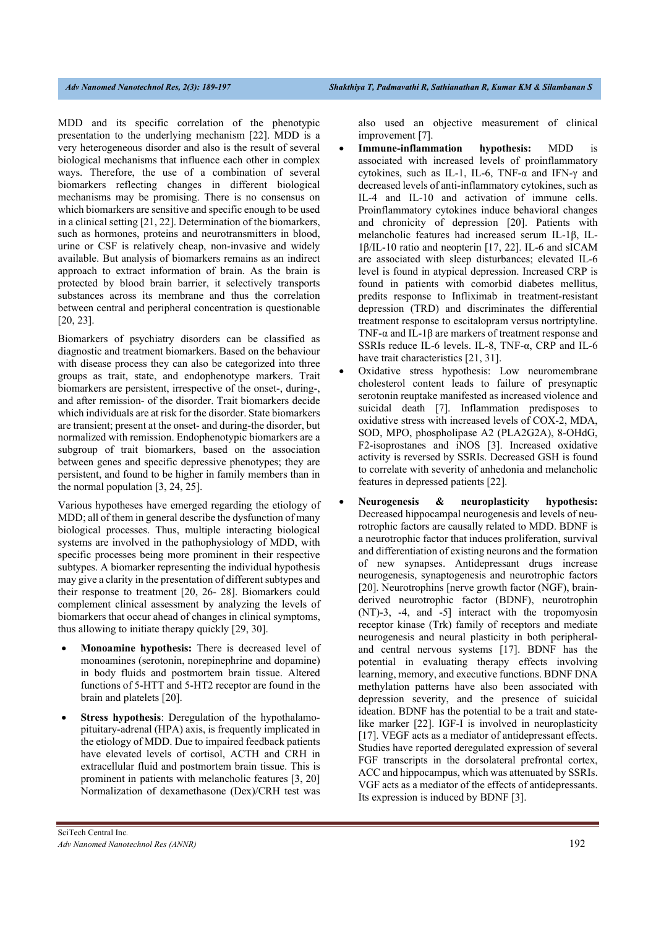MDD and its specific correlation of the phenotypic presentation to the underlying mechanism [22]. MDD is a very heterogeneous disorder and also is the result of several biological mechanisms that influence each other in complex ways. Therefore, the use of a combination of several biomarkers reflecting changes in different biological mechanisms may be promising. There is no consensus on which biomarkers are sensitive and specific enough to be used in a clinical setting [21, 22]. Determination of the biomarkers, such as hormones, proteins and neurotransmitters in blood, urine or CSF is relatively cheap, non-invasive and widely available. But analysis of biomarkers remains as an indirect approach to extract information of brain. As the brain is protected by blood brain barrier, it selectively transports substances across its membrane and thus the correlation between central and peripheral concentration is questionable [20, 23].

Biomarkers of psychiatry disorders can be classified as diagnostic and treatment biomarkers. Based on the behaviour with disease process they can also be categorized into three groups as trait, state, and endophenotype markers. Trait biomarkers are persistent, irrespective of the onset-, during-, and after remission- of the disorder. Trait biomarkers decide which individuals are at risk for the disorder. State biomarkers are transient; present at the onset- and during-the disorder, but normalized with remission. Endophenotypic biomarkers are a subgroup of trait biomarkers, based on the association between genes and specific depressive phenotypes; they are persistent, and found to be higher in family members than in the normal population [3, 24, 25].

Various hypotheses have emerged regarding the etiology of MDD; all of them in general describe the dysfunction of many biological processes. Thus, multiple interacting biological systems are involved in the pathophysiology of MDD, with specific processes being more prominent in their respective subtypes. A biomarker representing the individual hypothesis may give a clarity in the presentation of different subtypes and their response to treatment [20, 26- 28]. Biomarkers could complement clinical assessment by analyzing the levels of biomarkers that occur ahead of changes in clinical symptoms, thus allowing to initiate therapy quickly [29, 30].

- **Monoamine hypothesis:** There is decreased level of monoamines (serotonin, norepinephrine and dopamine) in body fluids and postmortem brain tissue. Altered functions of 5-HTT and 5-HT2 receptor are found in the brain and platelets [20].
- **Stress hypothesis**: Deregulation of the hypothalamopituitary-adrenal (HPA) axis, is frequently implicated in the etiology of MDD. Due to impaired feedback patients have elevated levels of cortisol, ACTH and CRH in extracellular fluid and postmortem brain tissue. This is prominent in patients with melancholic features [3, 20] Normalization of dexamethasone (Dex)/CRH test was

also used an objective measurement of clinical improvement [7].

- **Immune-inflammation hypothesis:** MDD is associated with increased levels of proinflammatory cytokines, such as IL-1, IL-6, TNF-α and IFN-γ and decreased levels of anti-inflammatory cytokines, such as IL-4 and IL-10 and activation of immune cells. Proinflammatory cytokines induce behavioral changes and chronicity of depression [20]. Patients with melancholic features had increased serum IL-1β, IL-1β/IL-10 ratio and neopterin [17, 22]. IL-6 and sICAM are associated with sleep disturbances; elevated IL-6 level is found in atypical depression. Increased CRP is found in patients with comorbid diabetes mellitus, predits response to Infliximab in treatment-resistant depression (TRD) and discriminates the differential treatment response to escitalopram versus nortriptyline. TNF- $\alpha$  and IL-1 $\beta$  are markers of treatment response and SSRIs reduce IL-6 levels. IL-8, TNF-α, CRP and IL-6 have trait characteristics [21, 31].
- Oxidative stress hypothesis: Low neuromembrane cholesterol content leads to failure of presynaptic serotonin reuptake manifested as increased violence and suicidal death [7]. Inflammation predisposes to oxidative stress with increased levels of COX-2, MDA, SOD, MPO, phospholipase A2 (PLA2G2A), 8-OHdG, F2-isoprostanes and iNOS [3]. Increased oxidative activity is reversed by SSRIs. Decreased GSH is found to correlate with severity of anhedonia and melancholic features in depressed patients [22].
- **Neurogenesis & neuroplasticity hypothesis:** Decreased hippocampal neurogenesis and levels of neurotrophic factors are causally related to MDD. BDNF is a neurotrophic factor that induces proliferation, survival and differentiation of existing neurons and the formation of new synapses. Antidepressant drugs increase neurogenesis, synaptogenesis and neurotrophic factors [20]. Neurotrophins [nerve growth factor (NGF), brainderived neurotrophic factor (BDNF), neurotrophin (NT)-3, -4, and -5] interact with the tropomyosin receptor kinase (Trk) family of receptors and mediate neurogenesis and neural plasticity in both peripheraland central nervous systems [17]. BDNF has the potential in evaluating therapy effects involving learning, memory, and executive functions. BDNF DNA methylation patterns have also been associated with depression severity, and the presence of suicidal ideation. BDNF has the potential to be a trait and statelike marker [22]. IGF-I is involved in neuroplasticity [17]. VEGF acts as a mediator of antidepressant effects. Studies have reported deregulated expression of several FGF transcripts in the dorsolateral prefrontal cortex, ACC and hippocampus, which was attenuated by SSRIs. VGF acts as a mediator of the effects of antidepressants. Its expression is induced by BDNF [3].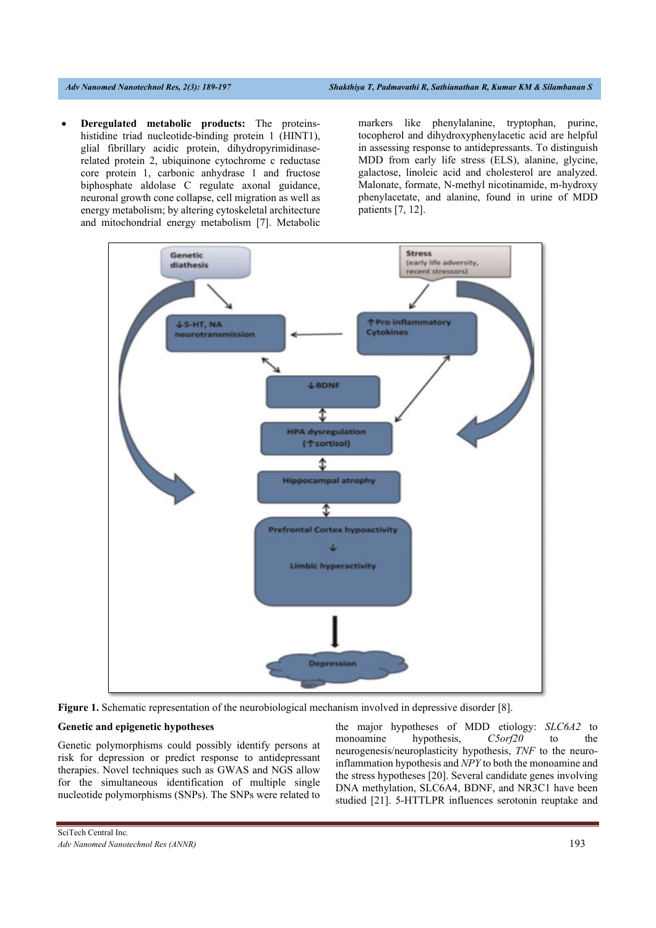**Deregulated metabolic products:** The proteinshistidine triad nucleotide-binding protein 1 (HINT1), glial fibrillary acidic protein, dihydropyrimidinaserelated protein 2, ubiquinone cytochrome c reductase core protein 1, carbonic anhydrase 1 and fructose biphosphate aldolase C regulate axonal guidance, neuronal growth cone collapse, cell migration as well as energy metabolism; by altering cytoskeletal architecture and mitochondrial energy metabolism [7]. Metabolic

markers like phenylalanine, tryptophan, purine, tocopherol and dihydroxyphenylacetic acid are helpful in assessing response to antidepressants. To distinguish MDD from early life stress (ELS), alanine, glycine, galactose, linoleic acid and cholesterol are analyzed. Malonate, formate, N-methyl nicotinamide, m-hydroxy phenylacetate, and alanine, found in urine of MDD patients [7, 12].





#### **Genetic and epigenetic hypotheses**

Genetic polymorphisms could possibly identify persons at risk for depression or predict response to antidepressant therapies. Novel techniques such as GWAS and NGS allow for the simultaneous identification of multiple single nucleotide polymorphisms (SNPs). The SNPs were related to

the major hypotheses of MDD etiology: *SLC6A2* to monoamine hypothesis, *C5orf20* to the neurogenesis/neuroplasticity hypothesis, *TNF* to the neuroinflammation hypothesis and *NPY* to both the monoamine and the stress hypotheses [20]. Several candidate genes involving DNA methylation, SLC6A4, BDNF, and NR3C1 have been studied [21]. 5-HTTLPR influences serotonin reuptake and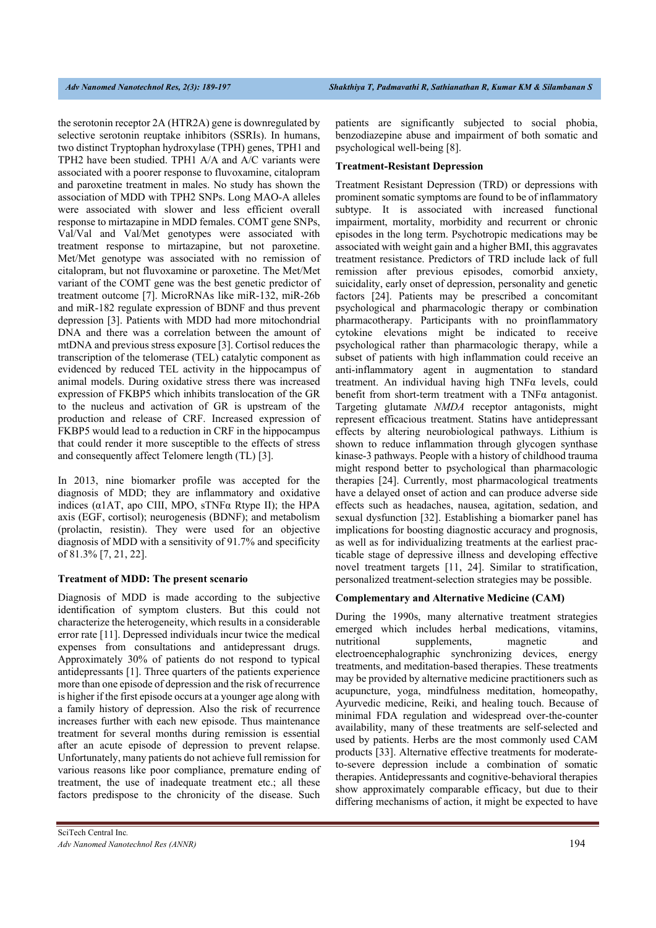the serotonin receptor 2A (HTR2A) gene is downregulated by selective serotonin reuptake inhibitors (SSRIs). In humans, two distinct Tryptophan hydroxylase (TPH) genes, TPH1 and TPH2 have been studied. TPH1 A/A and A/C variants were associated with a poorer response to fluvoxamine, citalopram and paroxetine treatment in males. No study has shown the association of MDD with TPH2 SNPs. Long MAO-A alleles were associated with slower and less efficient overall response to mirtazapine in MDD females. COMT gene SNPs, Val/Val and Val/Met genotypes were associated with treatment response to mirtazapine, but not paroxetine. Met/Met genotype was associated with no remission of citalopram, but not fluvoxamine or paroxetine. The Met/Met variant of the COMT gene was the best genetic predictor of treatment outcome [7]. MicroRNAs like miR-132, miR-26b and miR-182 regulate expression of BDNF and thus prevent depression [3]. Patients with MDD had more mitochondrial DNA and there was a correlation between the amount of mtDNA and previous stress exposure [3]. Cortisol reduces the transcription of the telomerase (TEL) catalytic component as evidenced by reduced TEL activity in the hippocampus of animal models. During oxidative stress there was increased expression of FKBP5 which inhibits translocation of the GR to the nucleus and activation of GR is upstream of the production and release of CRF. Increased expression of FKBP5 would lead to a reduction in CRF in the hippocampus that could render it more susceptible to the effects of stress and consequently affect Telomere length (TL) [3].

In 2013, nine biomarker profile was accepted for the diagnosis of MDD; they are inflammatory and oxidative indices ( $\alpha$ 1AT, apo CIII, MPO, sTNF $\alpha$  Rtype II); the HPA axis (EGF, cortisol); neurogenesis (BDNF); and metabolism (prolactin, resistin). They were used for an objective diagnosis of MDD with a sensitivity of 91.7% and specificity of 81.3% [7, 21, 22].

#### **Treatment of MDD: The present scenario**

Diagnosis of MDD is made according to the subjective identification of symptom clusters. But this could not characterize the heterogeneity, which results in a considerable error rate [11]. Depressed individuals incur twice the medical expenses from consultations and antidepressant drugs. Approximately 30% of patients do not respond to typical antidepressants [1]. Three quarters of the patients experience more than one episode of depression and the risk of recurrence is higher if the first episode occurs at a younger age along with a family history of depression. Also the risk of recurrence increases further with each new episode. Thus maintenance treatment for several months during remission is essential after an acute episode of depression to prevent relapse. Unfortunately, many patients do not achieve full remission for various reasons like poor compliance, premature ending of treatment, the use of inadequate treatment etc.; all these factors predispose to the chronicity of the disease. Such

patients are significantly subjected to social phobia, benzodiazepine abuse and impairment of both somatic and psychological well-being [8].

#### **Treatment-Resistant Depression**

Treatment Resistant Depression (TRD) or depressions with prominent somatic symptoms are found to be of inflammatory subtype. It is associated with increased functional impairment, mortality, morbidity and recurrent or chronic episodes in the long term. Psychotropic medications may be associated with weight gain and a higher BMI, this aggravates treatment resistance. Predictors of TRD include lack of full remission after previous episodes, comorbid anxiety, suicidality, early onset of depression, personality and genetic factors [24]. Patients may be prescribed a concomitant psychological and pharmacologic therapy or combination pharmacotherapy. Participants with no proinflammatory cytokine elevations might be indicated to receive psychological rather than pharmacologic therapy, while a subset of patients with high inflammation could receive an anti-inflammatory agent in augmentation to standard treatment. An individual having high TNFα levels, could benefit from short-term treatment with a TNFα antagonist. Targeting glutamate *NMDA* receptor antagonists, might represent efficacious treatment. Statins have antidepressant effects by altering neurobiological pathways. Lithium is shown to reduce inflammation through glycogen synthase kinase-3 pathways. People with a history of childhood trauma might respond better to psychological than pharmacologic therapies [24]. Currently, most pharmacological treatments have a delayed onset of action and can produce adverse side effects such as headaches, nausea, agitation, sedation, and sexual dysfunction [32]. Establishing a biomarker panel has implications for boosting diagnostic accuracy and prognosis, as well as for individualizing treatments at the earliest practicable stage of depressive illness and developing effective novel treatment targets [11, 24]. Similar to stratification, personalized treatment-selection strategies may be possible.

#### **Complementary and Alternative Medicine (CAM)**

During the 1990s, many alternative treatment strategies emerged which includes herbal medications, vitamins, nutritional supplements, magnetic and electroencephalographic synchronizing devices, energy treatments, and meditation-based therapies. These treatments may be provided by alternative medicine practitioners such as acupuncture, yoga, mindfulness meditation, homeopathy, Ayurvedic medicine, Reiki, and healing touch. Because of minimal FDA regulation and widespread over-the-counter availability, many of these treatments are self-selected and used by patients. Herbs are the most commonly used CAM products [33]. Alternative effective treatments for moderateto-severe depression include a combination of somatic therapies. Antidepressants and cognitive-behavioral therapies show approximately comparable efficacy, but due to their differing mechanisms of action, it might be expected to have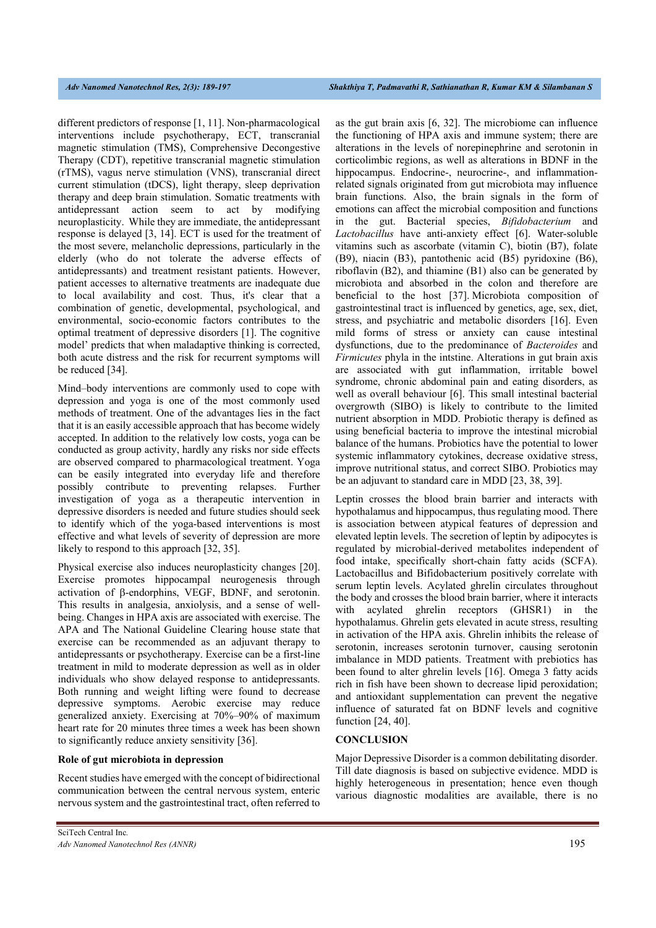different predictors of response [1, 11]. Non-pharmacological interventions include psychotherapy, ECT, transcranial magnetic stimulation (TMS), Comprehensive Decongestive Therapy (CDT), repetitive transcranial magnetic stimulation (rTMS), vagus nerve stimulation (VNS), transcranial direct current stimulation (tDCS), light therapy, sleep deprivation therapy and deep brain stimulation. Somatic treatments with antidepressant action seem to act by modifying neuroplasticity. While they are immediate, the antidepressant response is delayed [3, 14]. ECT is used for the treatment of the most severe, melancholic depressions, particularly in the elderly (who do not tolerate the adverse effects of antidepressants) and treatment resistant patients. However, patient accesses to alternative treatments are inadequate due to local availability and cost. Thus, it's clear that a combination of genetic, developmental, psychological, and environmental, socio-economic factors contributes to the optimal treatment of depressive disorders [1]. The cognitive model' predicts that when maladaptive thinking is corrected, both acute distress and the risk for recurrent symptoms will be reduced [34].

Mind–body interventions are commonly used to cope with depression and yoga is one of the most commonly used methods of treatment. One of the advantages lies in the fact that it is an easily accessible approach that has become widely accepted. In addition to the relatively low costs, yoga can be conducted as group activity, hardly any risks nor side effects are observed compared to pharmacological treatment. Yoga can be easily integrated into everyday life and therefore possibly contribute to preventing relapses. Further investigation of yoga as a therapeutic intervention in depressive disorders is needed and future studies should seek to identify which of the yoga-based interventions is most effective and what levels of severity of depression are more likely to respond to this approach [32, 35].

Physical exercise also induces neuroplasticity changes [20]. Exercise promotes hippocampal neurogenesis through activation of  $\beta$ -endorphins, VEGF, BDNF, and serotonin. This results in analgesia, anxiolysis, and a sense of wellbeing. Changes in HPA axis are associated with exercise. The APA and The National Guideline Clearing house state that exercise can be recommended as an adjuvant therapy to antidepressants or psychotherapy. Exercise can be a first-line treatment in mild to moderate depression as well as in older individuals who show delayed response to antidepressants. Both running and weight lifting were found to decrease depressive symptoms. Aerobic exercise may reduce generalized anxiety. Exercising at 70%–90% of maximum heart rate for 20 minutes three times a week has been shown to significantly reduce anxiety sensitivity [36].

#### **Role of gut microbiota in depression**

Recent studies have emerged with the concept of bidirectional communication between the central nervous system, enteric nervous system and the gastrointestinal tract, often referred to as the gut brain axis [6, 32]. The microbiome can influence the functioning of HPA axis and immune system; there are alterations in the levels of norepinephrine and serotonin in corticolimbic regions, as well as alterations in BDNF in the hippocampus. Endocrine-, neurocrine-, and inflammationrelated signals originated from gut microbiota may influence brain functions. Also, the brain signals in the form of emotions can affect the microbial composition and functions in the gut. Bacterial species, *Bifidobacterium* and *Lactobacillus* have anti-anxiety effect [6]. Water-soluble vitamins such as ascorbate (vitamin C), biotin (B7), folate (B9), niacin (B3), pantothenic acid (B5) pyridoxine (B6), riboflavin (B2), and thiamine (B1) also can be generated by microbiota and absorbed in the colon and therefore are beneficial to the host [37]. Microbiota composition of gastrointestinal tract is influenced by genetics, age, sex, diet, stress, and psychiatric and metabolic disorders [16]. Even mild forms of stress or anxiety can cause intestinal dysfunctions, due to the predominance of *Bacteroides* and *Firmicutes* phyla in the intstine. Alterations in gut brain axis are associated with gut inflammation, irritable bowel syndrome, chronic abdominal pain and eating disorders, as well as overall behaviour [6]. This small intestinal bacterial overgrowth (SIBO) is likely to contribute to the limited nutrient absorption in MDD. Probiotic therapy is defined as using beneficial bacteria to improve the intestinal microbial balance of the humans. Probiotics have the potential to lower systemic inflammatory cytokines, decrease oxidative stress, improve nutritional status, and correct SIBO. Probiotics may be an adjuvant to standard care in MDD [23, 38, 39].

Leptin crosses the blood brain barrier and interacts with hypothalamus and hippocampus, thus regulating mood. There is association between atypical features of depression and elevated leptin levels. The secretion of leptin by adipocytes is regulated by microbial-derived metabolites independent of food intake, specifically short-chain fatty acids (SCFA). Lactobacillus and Bifidobacterium positively correlate with serum leptin levels. Acylated ghrelin circulates throughout the body and crosses the blood brain barrier, where it interacts with acylated ghrelin receptors (GHSR1) in the hypothalamus. Ghrelin gets elevated in acute stress, resulting in activation of the HPA axis. Ghrelin inhibits the release of serotonin, increases serotonin turnover, causing serotonin imbalance in MDD patients. Treatment with prebiotics has been found to alter ghrelin levels [16]. Omega 3 fatty acids rich in fish have been shown to decrease lipid peroxidation; and antioxidant supplementation can prevent the negative influence of saturated fat on BDNF levels and cognitive function [24, 40].

#### **CONCLUSION**

Major Depressive Disorder is a common debilitating disorder. Till date diagnosis is based on subjective evidence. MDD is highly heterogeneous in presentation; hence even though various diagnostic modalities are available, there is no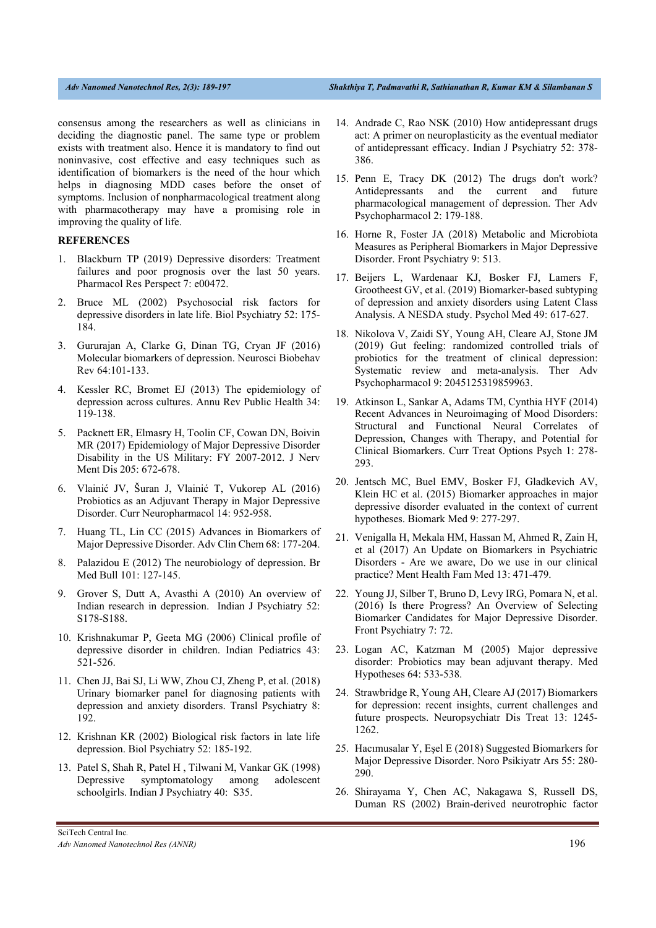consensus among the researchers as well as clinicians in deciding the diagnostic panel. The same type or problem exists with treatment also. Hence it is mandatory to find out noninvasive, cost effective and easy techniques such as identification of biomarkers is the need of the hour which helps in diagnosing MDD cases before the onset of symptoms. Inclusion of nonpharmacological treatment along with pharmacotherapy may have a promising role in improving the quality of life.

## **REFERENCES**

- 1. Blackburn TP (2019) Depressive disorders: Treatment failures and poor prognosis over the last 50 years. Pharmacol Res Perspect 7: e00472.
- 2. Bruce ML (2002) Psychosocial risk factors for depressive disorders in late life. Biol Psychiatry 52: 175- 184.
- 3. Gururajan A, Clarke G, Dinan TG, Cryan JF (2016) Molecular biomarkers of depression. Neurosci Biobehav Rev 64:101-133.
- 4. Kessler RC, Bromet EJ (2013) The epidemiology of depression across cultures. Annu Rev Public Health 34: 119-138.
- 5. Packnett ER, Elmasry H, Toolin CF, Cowan DN, Boivin MR (2017) Epidemiology of Major Depressive Disorder Disability in the US Military: FY 2007-2012. J Nerv Ment Dis 205: 672-678.
- 6. Vlainić JV, Šuran J, Vlainić T, Vukorep AL (2016) Probiotics as an Adjuvant Therapy in Major Depressive Disorder. Curr Neuropharmacol 14: 952-958.
- 7. Huang TL, Lin CC (2015) Advances in Biomarkers of Major Depressive Disorder. Adv Clin Chem 68: 177-204.
- 8. Palazidou E (2012) The neurobiology of depression. Br Med Bull 101: 127-145.
- 9. Grover S, Dutt A, Avasthi A (2010) An overview of Indian research in depression. Indian J Psychiatry 52: S178-S188.
- 10. Krishnakumar P, Geeta MG (2006) Clinical profile of depressive disorder in children. Indian Pediatrics 43: 521-526.
- 11. Chen JJ, Bai SJ, Li WW, Zhou CJ, Zheng P, et al. (2018) Urinary biomarker panel for diagnosing patients with depression and anxiety disorders. Transl Psychiatry 8: 192.
- 12. Krishnan KR (2002) Biological risk factors in late life depression. Biol Psychiatry 52: 185-192.
- 13. Patel S, Shah R, Patel H , Tilwani M, Vankar GK (1998) Depressive symptomatology among adolescent schoolgirls. Indian J Psychiatry 40: S35.
- 14. Andrade C, Rao NSK (2010) How antidepressant drugs act: A primer on neuroplasticity as the eventual mediator of antidepressant efficacy. Indian J Psychiatry 52: 378- 386.
- 15. Penn E, Tracy DK (2012) The drugs don't work? Antidepressants and the current and future pharmacological management of depression. Ther Adv Psychopharmacol 2: 179-188.
- 16. Horne R, Foster JA (2018) Metabolic and Microbiota Measures as Peripheral Biomarkers in Major Depressive Disorder. Front Psychiatry 9: 513.
- 17. Beijers L, Wardenaar KJ, Bosker FJ, Lamers F, Grootheest GV, et al. (2019) Biomarker-based subtyping of depression and anxiety disorders using Latent Class Analysis. A NESDA study. Psychol Med 49: 617-627.
- 18. Nikolova V, Zaidi SY, Young AH, Cleare AJ, Stone JM (2019) Gut feeling: randomized controlled trials of probiotics for the treatment of clinical depression: Systematic review and meta-analysis. Ther Adv Psychopharmacol 9: 2045125319859963.
- 19. Atkinson L, Sankar A, Adams TM, Cynthia HYF (2014) Recent Advances in Neuroimaging of Mood Disorders: Structural and Functional Neural Correlates of Depression, Changes with Therapy, and Potential for Clinical Biomarkers. Curr Treat Options Psych 1: 278- 293.
- 20. Jentsch MC, Buel EMV, Bosker FJ, Gladkevich AV, Klein HC et al. (2015) Biomarker approaches in major depressive disorder evaluated in the context of current hypotheses. Biomark Med 9: 277-297.
- 21. Venigalla H, Mekala HM, Hassan M, Ahmed R, Zain H, et al (2017) An Update on Biomarkers in Psychiatric Disorders - Are we aware, Do we use in our clinical practice? Ment Health Fam Med 13: 471-479.
- 22. Young JJ, Silber T, Bruno D, Levy IRG, Pomara N, et al. (2016) Is there Progress? An Overview of Selecting Biomarker Candidates for Major Depressive Disorder. Front Psychiatry 7: 72.
- 23. Logan AC, Katzman M (2005) Major depressive disorder: Probiotics may bean adjuvant therapy. Med Hypotheses 64: 533-538.
- 24. Strawbridge R, Young AH, Cleare AJ (2017) Biomarkers for depression: recent insights, current challenges and future prospects. Neuropsychiatr Dis Treat 13: 1245- 1262.
- 25. Hacımusalar Y, Eşel E (2018) Suggested Biomarkers for Major Depressive Disorder. Noro Psikiyatr Ars 55: 280- 290.
- 26. Shirayama Y, Chen AC, Nakagawa S, Russell DS, Duman RS (2002) Brain-derived neurotrophic factor

SciTech Central Inc*. Adv Nanomed Nanotechnol Res (ANNR)* 196